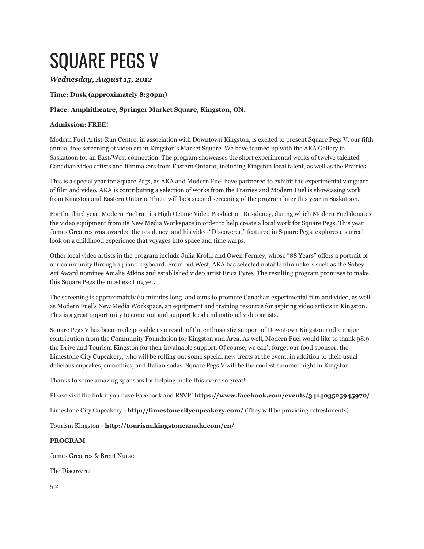# SQUARE PEGS V

## *Wednesday, August 15, 2012*

### **Time: Dusk (approximately 8:30pm)**

### **Place: Amphitheatre, Springer Market Square, Kingston, ON.**

### **Admission: FREE!**

Modern Fuel Artist-Run Centre, in association with Downtown Kingston, is excited to present Square Pegs V, our fifth annual free screening of video art in Kingston's Market Square. We have teamed up with the AKA Gallery in Saskatoon for an East/West connection. The program showcases the short experimental works of twelve talented Canadian video artists and filmmakers from Eastern Ontario, including Kingston local talent, as well as the Prairies.

This is a special year for Square Pegs, as AKA and Modern Fuel have partnered to exhibit the experimental vanguard of film and video. AKA is contributing a selection of works from the Prairies and Modern Fuel is showcasing work from Kingston and Eastern Ontario. There will be a second screening of the program later this year in Saskatoon.

For the third year, Modern Fuel ran its High Octane Video Production Residency, during which Modern Fuel donates the video equipment from its New Media Workspace in order to help create a local work for Square Pegs. This year James Greatrex was awarded the residency, and his video "Discoverer," featured in Square Pegs, explores a surreal look on a childhood experience that voyages into space and time warps.

Other local video artists in the program include Julia Krolik and Owen Fernley, whose "88 Years" offers a portrait of our community through a piano keyboard. From out West, AKA has selected notable filmmakers such as the Sobey Art Award nominee Amalie Atkins and established video artist Erica Eyres. The resulting program promises to make this Square Pegs the most exciting yet.

The screening is approximately 60 minutes long, and aims to promote Canadian experimental film and video, as well as Modern Fuel's New Media Workspace, an equipment and training resource for aspiring video artists in Kingston. This is a great opportunity to come out and support local and national video artists.

Square Pegs V has been made possible as a result of the enthusiastic support of Downtown Kingston and a major contribution from the Community Foundation for Kingston and Area. As well, Modern Fuel would like to thank 98.9 the Drive and Tourism Kingston for their invaluable support. Of course, we can't forget our food sponsor, the Limestone City Cupcakery, who will be rolling out some special new treats at the event, in addition to their usual delicious cupcakes, smoothies, and Italian sodas. Square Pegs V will be the coolest summer night in Kingston.

Thanks to some amazing sponsors for helping make this event so great!

Please visit the link if you have Facebook and RSVP! **<https://www.facebook.com/events/341403525945970/>**

Limestone City Cupcakery - **<http://limestonecitycupcakery.com/>** (They will be providing refreshments)

Tourism Kingston - **<http://tourism.kingstoncanada.com/en/>**

#### **PROGRAM**

James Greatrex & Brent Nurse

The Discoverer

5:21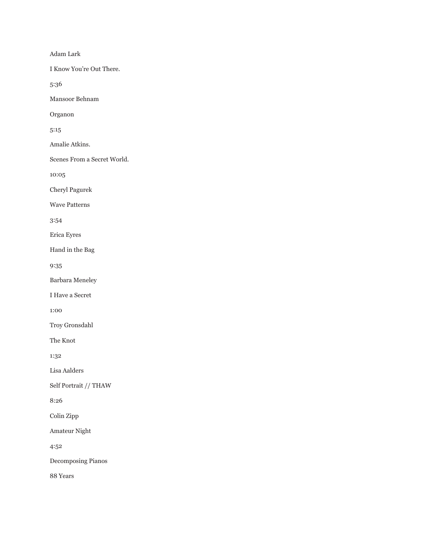Adam Lark

I Know You're Out There.

5:36

Mansoor Behnam

Organon

5:15

Amalie Atkins.

Scenes From a Secret World.

10:05

Cheryl Pagurek

Wave Patterns

3:54

Erica Eyres

Hand in the Bag

9:35

Barbara Meneley

I Have a Secret

1:00

Troy Gronsdahl

The Knot

1:32

Lisa Aalders

Self Portrait // THAW

8:26

Colin Zipp

Amateur Night

4:52

Decomposing Pianos

88 Years